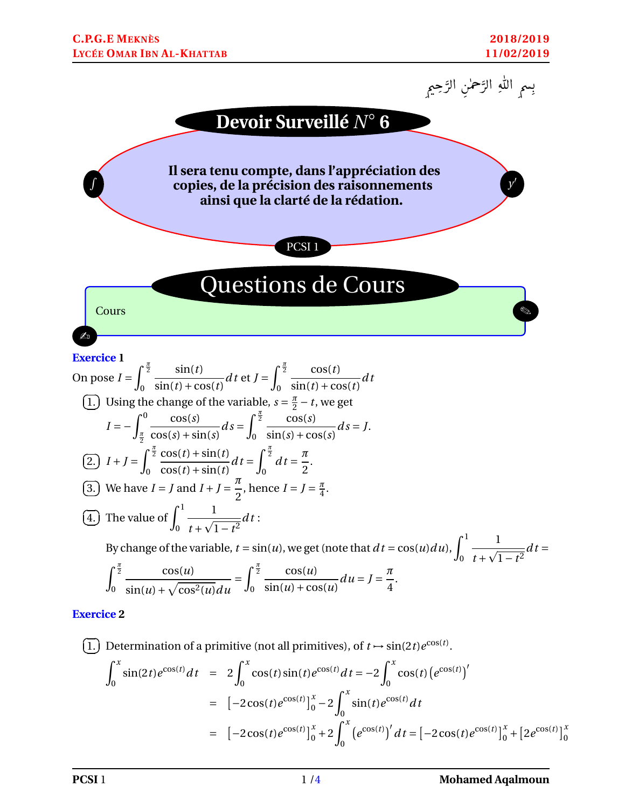۔<br>ا



1. Determine the function of a primitive (not all primitives), of 
$$
t \to \sin(2t)e^{\cos(t)}
$$
.  
\n
$$
\int_0^x \sin(2t)e^{\cos(t)}dt = 2\int_0^x \cos(t)\sin(t)e^{\cos(t)}dt = -2\int_0^x \cos(t)(e^{\cos(t)})'
$$
\n
$$
= [-2\cos(t)e^{\cos(t)}]_0^x - 2\int_0^x \sin(t)e^{\cos(t)}dt
$$
\n
$$
= [-2\cos(t)e^{\cos(t)}]_0^x + 2\int_0^x (e^{\cos(t)})'dt = [-2\cos(t)e^{\cos(t)}]_0^x + [2e^{\cos(t)}]_0^x
$$

✝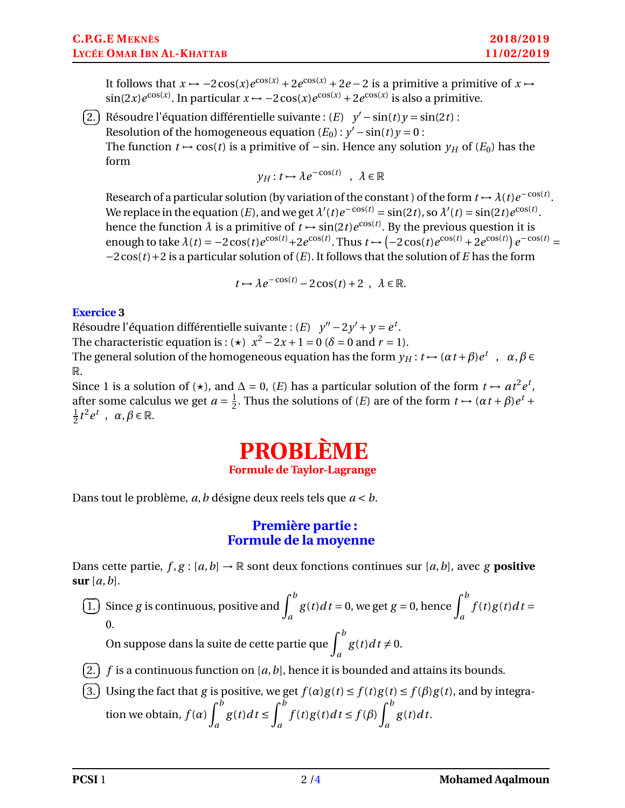It follows that  $x \mapsto -2\cos(x)e^{\cos(x)} + 2e^{\cos(x)} + 2e - 2$  is a primitive a primitive of  $x \mapsto$  $\sin(2x)e^{\cos(x)}$ . In particular  $x \mapsto -2\cos(x)e^{\cos(x)} + 2e^{\cos(x)}$  is also a primitive.

 $\overline{G}$ ✝ 2.) Résoudre l'équation différentielle suivante :  $(E)$   $y' - sin(t)y = sin(2t)$  : Resolution of the homogeneous equation  $(E_0)$ :  $y'$  –  $\sin(t)y = 0$ : The function  $t \mapsto \cos(t)$  is a primitive of −sin. Hence any solution  $\gamma_H$  of  $(E_0)$  has the form

$$
y_H: t \mapsto \lambda e^{-\cos(t)} \ , \ \lambda \in \mathbb{R}
$$

Research of a particular solution (by variation of the constant) of the form  $t \mapsto \lambda(t)e^{-\cos(t)}$ . We replace in the equation (*E*), and we get  $\lambda'(t)e^{-\cos(t)} = \sin(2t)$ , so  $\lambda'(t) = \sin(2t)e^{\cos(t)}$ . hence the function  $\lambda$  is a primitive of  $t \mapsto \sin(2t) e^{\cos(t)}$ . By the previous question it is enough to take  $\lambda(t) = -2\cos(t)e^{\cos(t)} + 2e^{\cos(t)}$ . Thus  $t \mapsto (-2\cos(t)e^{\cos(t)} + 2e^{\cos(t)}]e^{-\cos(t)} =$ −2cos(*t*)+2 is a particular solution of (*E*). It follows that the solution of *E* has the form

$$
t \mapsto \lambda e^{-\cos(t)} - 2\cos(t) + 2 \ , \ \lambda \in \mathbb{R}.
$$

## **Exercice 3**

Résoudre l'équation différentielle suivante :  $(E)$  *y*" – 2*y'* + *y* =  $e^t$ . The characteristic equation is :  $(\star)$  *x*<sup>2</sup> − 2*x* + 1 = 0 ( $\delta$  = 0 and *r* = 1).

The general solution of the homogeneous equation has the form  $y_H$  :  $t \mapsto (\alpha t + \beta)e^t$  ,  $\alpha, \beta \in$ R.

Since 1 is a solution of ( $\star$ ), and  $\Delta = 0$ , (*E*) has a particular solution of the form  $t \mapsto at^2 e^t$ , after some calculus we get  $a = \frac{1}{2}$  $\frac{1}{2}$ . Thus the solutions of (*E*) are of the form  $t \mapsto (\alpha t + \beta)e^{t} +$ 1  $\frac{1}{2}t^2e^t$ ,  $\alpha, \beta \in \mathbb{R}$ .

## **PROBLÈME Formule de Taylor-Lagrange**

Dans tout le problème, *a*,*b* désigne deux reels tels que *a* < *b*.

## **Première partie : Formule de la moyenne**

Dans cette partie,  $f, g : [a, b] \rightarrow \mathbb{R}$  sont deux fonctions continues sur  $[a, b]$ , avec *g* **positive sur** [*a*,*b*].

 $\overline{G}$ ✝ 1.) Since *g* is continuous, positive and  $\int_a^b$  $g(t)dt = 0$ , we get  $g = 0$ , hence  $\int^{b}$ *a*  $f(t)g(t)dt =$ 0.

On suppose dans la suite de cette partie que  $\int^b$ *a*  $g(t)dt \neq 0.$ 

- $\overline{a}$ ✝ 2.)  $f$  is a continuous function on  $[a, b]$ , hence it is bounded and attains its bounds.
- $\overline{a}$ ✝ 3.) Using the fact that *g* is positive, we get  $f(\alpha)g(t) \le f(t)g(t) \le f(\beta)g(t)$ , and by integration we obtain,  $f(\alpha) \int^b$ *a*  $g(t)dt \leq \int_0^b$ *a*  $f(t)g(t)dt \leq f(\beta)\int^{b}$ *a g* (*t*)*d t*.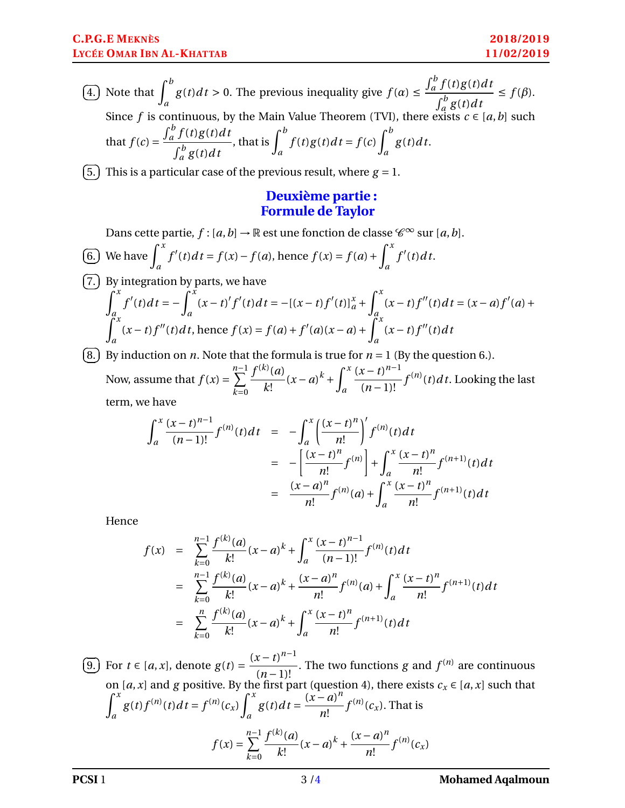$\overline{a}$ ✝  $\overline{4.}$  Note that  $\int_a^b$  $g(t)dt > 0$ . The previous inequality give  $f(\alpha) \le$  $\int_a^b f(t)g(t)dt$  $\int_a^b g(t) dt$  $\leq f(\beta)$ . Since *f* is continuous, by the Main Value Theorem (TVI), there exists  $c \in [a, b]$  such that  $f(c) =$  $\int_a^b f(t)g(t)dt$  $\int_a^b g(t) dt$ *a* , that is  $\int^b$ *a*  $f(t)g(t)dt = f(c)\int^{b}$ *a g* (*t*)*d t*.

 $\epsilon$ ✝ 5.) This is a particular case of the previous result, where  $g = 1$ .

## **Deuxième partie : Formule de Taylor**

Dans cette partie,  $f$  :  $[a, b] \rightarrow \mathbb{R}$  est une fonction de classe  $\mathscr{C}^{\infty}$  sur  $[a, b]$ .  $\epsilon$ ✝ 6.) We have  $\int_a^x$  $f'(t)dt = f(x) - f(a)$ , hence  $f(x) = f(a) + \int^x f(a)dx$ *a*  $f'(t)dt$ .  $\overline{c}$ ✝ 7.) By integration by parts, we have  $\int_0^x f'(t)dt = -\int_0^x (x-t)'f'(t)dt = -[(x-t)f'(t)]_a^x + \int_0^x (x-t)f''(t)dt = (x-a)f'(a) +$ *a a a*

$$
\int_{a}^{a} (x-t)f''(t)dt
$$
, hence  $f(x) = f(a) + f'(a)(x-a) + \int_{a}^{a} (x-t)f''(t)dt$ 

 $\epsilon$ ✝ 8. By induction on *n*. Note that the formula is true for  $n = 1$  (By the question 6.). Now, assume that  $f(x) = \sum_{n=1}^{n-1}$ *k*=0  $f^{(k)}(a)$ *k*!  $(x-a)^k + \int^x$ *a*  $(x - t)^{n-1}$  $\frac{x - i}{(n-1)!} f^{(n)}(t) dt$ . Looking the last term, we have

$$
\int_{a}^{x} \frac{(x-t)^{n-1}}{(n-1)!} f^{(n)}(t) dt = -\int_{a}^{x} \left(\frac{(x-t)^{n}}{n!}\right)' f^{(n)}(t) dt
$$
  

$$
= -\left[\frac{(x-t)^{n}}{n!} f^{(n)}\right] + \int_{a}^{x} \frac{(x-t)^{n}}{n!} f^{(n+1)}(t) dt
$$
  

$$
= \frac{(x-a)^{n}}{n!} f^{(n)}(a) + \int_{a}^{x} \frac{(x-t)^{n}}{n!} f^{(n+1)}(t) dt
$$

Hence

$$
f(x) = \sum_{k=0}^{n-1} \frac{f^{(k)}(a)}{k!} (x-a)^k + \int_a^x \frac{(x-t)^{n-1}}{(n-1)!} f^{(n)}(t) dt
$$
  
\n
$$
= \sum_{k=0}^{n-1} \frac{f^{(k)}(a)}{k!} (x-a)^k + \frac{(x-a)^n}{n!} f^{(n)}(a) + \int_a^x \frac{(x-t)^n}{n!} f^{(n+1)}(t) dt
$$
  
\n
$$
= \sum_{k=0}^n \frac{f^{(k)}(a)}{k!} (x-a)^k + \int_a^x \frac{(x-t)^n}{n!} f^{(n+1)}(t) dt
$$

 $\epsilon$ ✝ 9.) For  $t \in [a, x]$ , denote  $g(t) =$  $(x - t)^{n-1}$  $\frac{(n-1)!}{(n-1)!}$ . The two functions *g* and  $f^{(n)}$  are continuous on [*a*,*x*] and *g* positive. By the first part (question 4), there exists  $c_x \in [a, x]$  such that  $\int_0^x$ *a*  $g(t)f^{(n)}(t)dt = f^{(n)}(c_x)$  $\int_0^x$ *a*  $g(t)dt =$  $(x-a)^n$ *n*!  $f^{(n)}(c_{\textit{\textbf{x}}}).$  That is  $f(x) = \sum_{n=1}^{n-1}$  $\overline{k=0}$  $f^{(k)}(a)$ *k*!  $(x-a)^k + \frac{(x-a)^n}{n}$ *n*!  $f^{(n)}(c_x)$